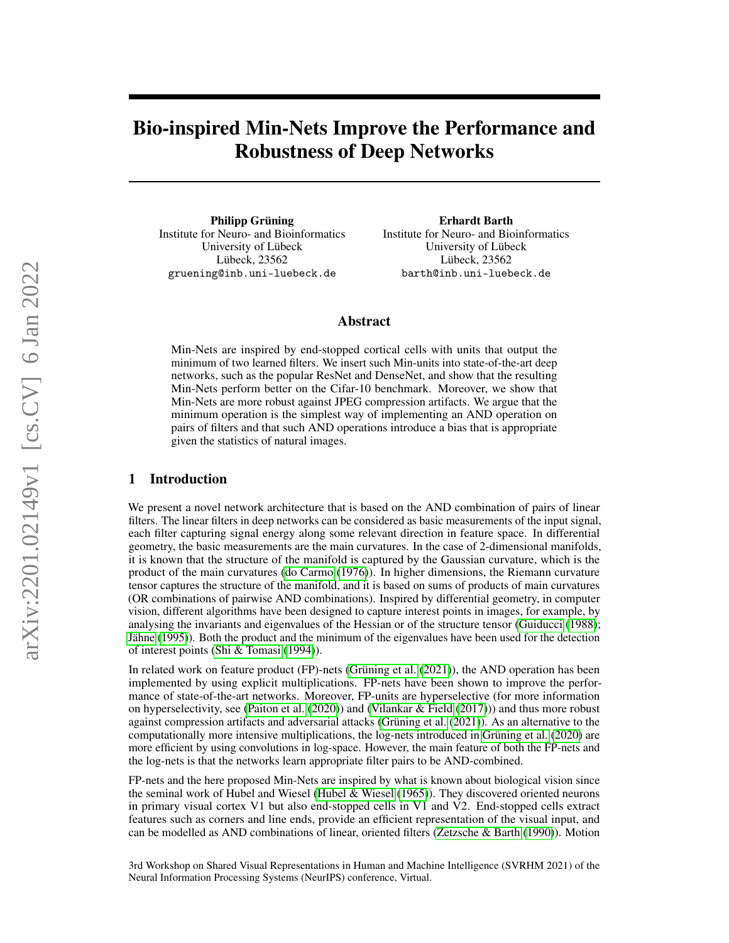# Bio-inspired Min-Nets Improve the Performance and Robustness of Deep Networks

Philipp Grüning Institute for Neuro- and Bioinformatics University of Lübeck Lübeck, 23562 gruening@inb.uni-luebeck.de

Erhardt Barth Institute for Neuro- and Bioinformatics University of Lübeck Lübeck, 23562 barth@inb.uni-luebeck.de

## Abstract

Min-Nets are inspired by end-stopped cortical cells with units that output the minimum of two learned filters. We insert such Min-units into state-of-the-art deep networks, such as the popular ResNet and DenseNet, and show that the resulting Min-Nets perform better on the Cifar-10 benchmark. Moreover, we show that Min-Nets are more robust against JPEG compression artifacts. We argue that the minimum operation is the simplest way of implementing an AND operation on pairs of filters and that such AND operations introduce a bias that is appropriate given the statistics of natural images.

## 1 Introduction

We present a novel network architecture that is based on the AND combination of pairs of linear filters. The linear filters in deep networks can be considered as basic measurements of the input signal, each filter capturing signal energy along some relevant direction in feature space. In differential geometry, the basic measurements are the main curvatures. In the case of 2-dimensional manifolds, it is known that the structure of the manifold is captured by the Gaussian curvature, which is the product of the main curvatures [\(do Carmo](#page-5-0) [\(1976\)](#page-5-0)). In higher dimensions, the Riemann curvature tensor captures the structure of the manifold, and it is based on sums of products of main curvatures (OR combinations of pairwise AND combinations). Inspired by differential geometry, in computer vision, different algorithms have been designed to capture interest points in images, for example, by analysing the invariants and eigenvalues of the Hessian or of the structure tensor [\(Guiducci](#page-6-0) [\(1988\)](#page-6-0); [Jähne](#page-6-1) [\(1995\)](#page-6-1)). Both the product and the minimum of the eigenvalues have been used for the detection of interest points [\(Shi & Tomasi](#page-6-2) [\(1994\)](#page-6-2)).

In related work on feature product (FP)-nets [\(Grüning et al.](#page-5-1) [\(2021\)](#page-5-1)), the AND operation has been implemented by using explicit multiplications. FP-nets have been shown to improve the performance of state-of-the-art networks. Moreover, FP-units are hyperselective (for more information on hyperselectivity, see [\(Paiton et al.](#page-6-3) [\(2020\)](#page-6-3)) and [\(Vilankar & Field](#page-6-4) [\(2017\)](#page-6-4))) and thus more robust against compression artifacts and adversarial attacks [\(Grüning et al.](#page-5-1) [\(2021\)](#page-5-1)). As an alternative to the computationally more intensive multiplications, the log-nets introduced in [Grüning et al.](#page-5-2) [\(2020\)](#page-5-2) are more efficient by using convolutions in log-space. However, the main feature of both the FP-nets and the log-nets is that the networks learn appropriate filter pairs to be AND-combined.

FP-nets and the here proposed Min-Nets are inspired by what is known about biological vision since the seminal work of Hubel and Wiesel [\(Hubel & Wiesel](#page-6-5) [\(1965\)](#page-6-5)). They discovered oriented neurons in primary visual cortex V1 but also end-stopped cells in V1 and V2. End-stopped cells extract features such as corners and line ends, provide an efficient representation of the visual input, and can be modelled as AND combinations of linear, oriented filters [\(Zetzsche & Barth](#page-6-6) [\(1990\)](#page-6-6)). Motion

3rd Workshop on Shared Visual Representations in Human and Machine Intelligence (SVRHM 2021) of the Neural Information Processing Systems (NeurIPS) conference, Virtual.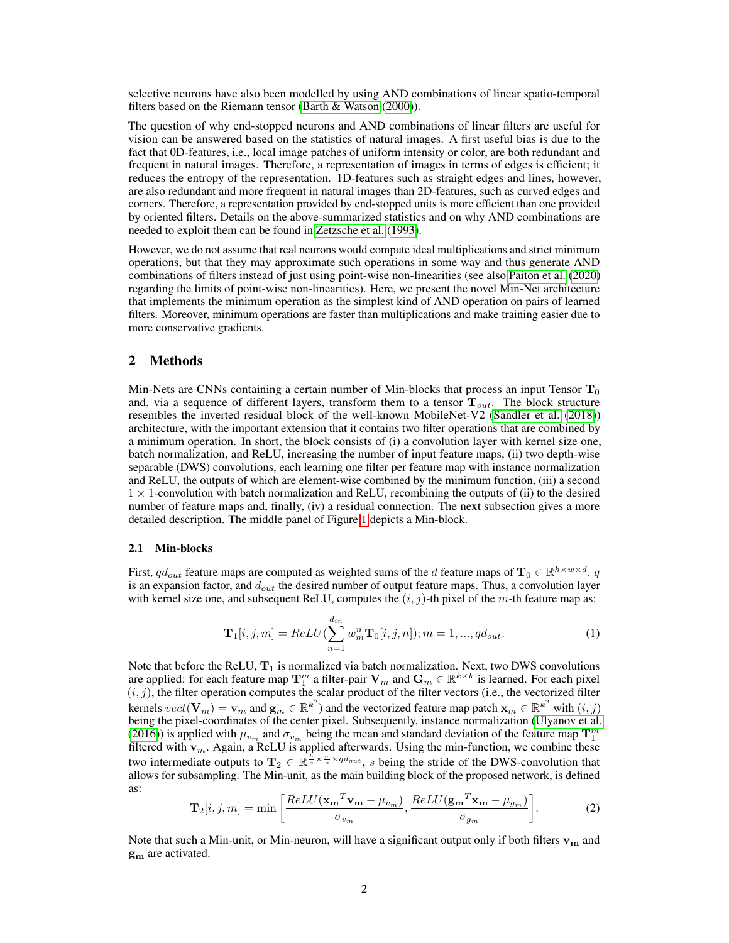selective neurons have also been modelled by using AND combinations of linear spatio-temporal filters based on the Riemann tensor [\(Barth & Watson](#page-5-3) [\(2000\)](#page-5-3)).

The question of why end-stopped neurons and AND combinations of linear filters are useful for vision can be answered based on the statistics of natural images. A first useful bias is due to the fact that 0D-features, i.e., local image patches of uniform intensity or color, are both redundant and frequent in natural images. Therefore, a representation of images in terms of edges is efficient; it reduces the entropy of the representation. 1D-features such as straight edges and lines, however, are also redundant and more frequent in natural images than 2D-features, such as curved edges and corners. Therefore, a representation provided by end-stopped units is more efficient than one provided by oriented filters. Details on the above-summarized statistics and on why AND combinations are needed to exploit them can be found in [Zetzsche et al.](#page-6-7) [\(1993\)](#page-6-7).

However, we do not assume that real neurons would compute ideal multiplications and strict minimum operations, but that they may approximate such operations in some way and thus generate AND combinations of filters instead of just using point-wise non-linearities (see also [Paiton et al.](#page-6-3) [\(2020\)](#page-6-3) regarding the limits of point-wise non-linearities). Here, we present the novel Min-Net architecture that implements the minimum operation as the simplest kind of AND operation on pairs of learned filters. Moreover, minimum operations are faster than multiplications and make training easier due to more conservative gradients.

## 2 Methods

Min-Nets are CNNs containing a certain number of Min-blocks that process an input Tensor  $T_0$ and, via a sequence of different layers, transform them to a tensor  $T_{out}$ . The block structure resembles the inverted residual block of the well-known MobileNet-V2 [\(Sandler et al.](#page-6-8) [\(2018\)](#page-6-8)) architecture, with the important extension that it contains two filter operations that are combined by a minimum operation. In short, the block consists of (i) a convolution layer with kernel size one, batch normalization, and ReLU, increasing the number of input feature maps, (ii) two depth-wise separable (DWS) convolutions, each learning one filter per feature map with instance normalization and ReLU, the outputs of which are element-wise combined by the minimum function, (iii) a second  $1 \times 1$ -convolution with batch normalization and ReLU, recombining the outputs of (ii) to the desired number of feature maps and, finally, (iv) a residual connection. The next subsection gives a more detailed description. The middle panel of Figure [1](#page-3-0) depicts a Min-block.

#### 2.1 Min-blocks

First,  $qd_{out}$  feature maps are computed as weighted sums of the d feature maps of  $\mathbf{T}_0 \in \mathbb{R}^{h \times w \times d}$ . q is an expansion factor, and  $d_{out}$  the desired number of output feature maps. Thus, a convolution layer with kernel size one, and subsequent ReLU, computes the  $(i, j)$ -th pixel of the m-th feature map as:

<span id="page-1-0"></span>
$$
\mathbf{T}_{1}[i,j,m] = ReLU(\sum_{n=1}^{d_{in}} w_{m}^{n} \mathbf{T}_{0}[i,j,n]); m = 1, ..., qd_{out}.
$$
\n(1)

Note that before the ReLU,  $T_1$  is normalized via batch normalization. Next, two DWS convolutions are applied: for each feature map  $T_1^m$  a filter-pair  $V_m$  and  $G_m \in \mathbb{R}^{k \times k}$  is learned. For each pixel  $(i, j)$ , the filter operation computes the scalar product of the filter vectors (i.e., the vectorized filter kernels  $vect(\mathbf{V}_m) = \mathbf{v}_m$  and  $\mathbf{g}_m \in \mathbb{R}^{k^2}$ ) and the vectorized feature map patch  $\mathbf{x}_m \in \mathbb{R}^{k^2}$  with  $(i, j)$ being the pixel-coordinates of the center pixel. Subsequently, instance normalization [\(Ulyanov et al.](#page-6-9) [\(2016\)](#page-6-9)) is applied with  $\mu_{v_m}$  and  $\sigma_{v_m}$  being the mean and standard deviation of the feature map  $\mathbf{T}_1^m$  filtered with  $\mathbf{v}_m$ . Again, a ReLU is applied afterwards. Using the min-function, we combine these two intermediate outputs to  $T_2 \in \mathbb{R}^{\frac{h}{s} \times \frac{w}{s} \times qd_{out}}$ , s being the stride of the DWS-convolution that allows for subsampling. The Min-unit, as the main building block of the proposed network, is defined as:

<span id="page-1-1"></span>
$$
\mathbf{T}_2[i,j,m] = \min\left[\frac{ReLU(\mathbf{x_m}^T \mathbf{v_m} - \mu_{v_m})}{\sigma_{v_m}}, \frac{ReLU(\mathbf{g_m}^T \mathbf{x_m} - \mu_{g_m})}{\sigma_{g_m}}\right].
$$
 (2)

Note that such a Min-unit, or Min-neuron, will have a significant output only if both filters  $v_m$  and  $\mathbf{g}_{\mathbf{m}}$  are activated.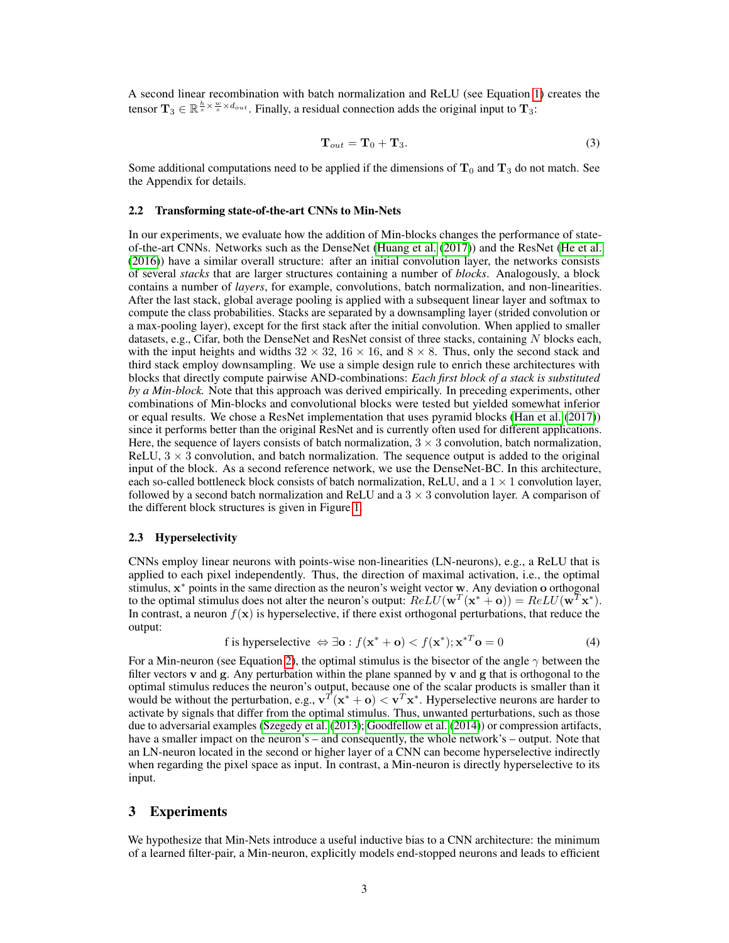A second linear recombination with batch normalization and ReLU (see Equation [1\)](#page-1-0) creates the tensor  $\mathbf{T}_3 \in \mathbb{R}^{\frac{h}{s} \times \frac{w}{s} \times d_{out}}$ . Finally, a residual connection adds the original input to  $\mathbf{T}_3$ :

$$
\mathbf{T}_{out} = \mathbf{T}_0 + \mathbf{T}_3. \tag{3}
$$

Some additional computations need to be applied if the dimensions of  $T_0$  and  $T_3$  do not match. See the Appendix for details.

#### 2.2 Transforming state-of-the-art CNNs to Min-Nets

In our experiments, we evaluate how the addition of Min-blocks changes the performance of stateof-the-art CNNs. Networks such as the DenseNet [\(Huang et al.](#page-6-10) [\(2017\)](#page-6-10)) and the ResNet [\(He et al.](#page-6-11) [\(2016\)](#page-6-11)) have a similar overall structure: after an initial convolution layer, the networks consists of several *stacks* that are larger structures containing a number of *blocks*. Analogously, a block contains a number of *layers*, for example, convolutions, batch normalization, and non-linearities. After the last stack, global average pooling is applied with a subsequent linear layer and softmax to compute the class probabilities. Stacks are separated by a downsampling layer (strided convolution or a max-pooling layer), except for the first stack after the initial convolution. When applied to smaller datasets, e.g., Cifar, both the DenseNet and ResNet consist of three stacks, containing  $N$  blocks each, with the input heights and widths  $32 \times 32$ ,  $16 \times 16$ , and  $8 \times 8$ . Thus, only the second stack and third stack employ downsampling. We use a simple design rule to enrich these architectures with blocks that directly compute pairwise AND-combinations: *Each first block of a stack is substituted by a Min-block.* Note that this approach was derived empirically. In preceding experiments, other combinations of Min-blocks and convolutional blocks were tested but yielded somewhat inferior or equal results. We chose a ResNet implementation that uses pyramid blocks [\(Han et al.](#page-6-12) [\(2017\)](#page-6-12)) since it performs better than the original ResNet and is currently often used for different applications. Here, the sequence of layers consists of batch normalization,  $3 \times 3$  convolution, batch normalization, ReLU,  $3 \times 3$  convolution, and batch normalization. The sequence output is added to the original input of the block. As a second reference network, we use the DenseNet-BC. In this architecture, each so-called bottleneck block consists of batch normalization, ReLU, and a  $1 \times 1$  convolution layer, followed by a second batch normalization and ReLU and a  $3 \times 3$  convolution layer. A comparison of the different block structures is given in Figure [1.](#page-3-0)

## 2.3 Hyperselectivity

CNNs employ linear neurons with points-wise non-linearities (LN-neurons), e.g., a ReLU that is applied to each pixel independently. Thus, the direction of maximal activation, i.e., the optimal stimulus, x <sup>∗</sup> points in the same direction as the neuron's weight vector w. Any deviation o orthogonal to the optimal stimulus does not alter the neuron's output:  $ReLU(\mathbf{w}^T(\mathbf{x}^* + \mathbf{o})) = ReLU(\mathbf{w}^T\mathbf{x}^*).$ In contrast, a neuron  $f(\mathbf{x})$  is hyperselective, if there exist orthogonal perturbations, that reduce the output:

f is hyperselectric 
$$
\Leftrightarrow \exists \mathbf{o} : f(\mathbf{x}^* + \mathbf{o}) < f(\mathbf{x}^*); \mathbf{x}^{*T} \mathbf{o} = 0
$$
 (4)

For a Min-neuron (see Equation [2\)](#page-1-1), the optimal stimulus is the bisector of the angle  $\gamma$  between the filter vectors  $\bf{v}$  and  $\bf{g}$ . Any perturbation within the plane spanned by  $\bf{v}$  and  $\bf{g}$  that is orthogonal to the optimal stimulus reduces the neuron's output, because one of the scalar products is smaller than it would be without the perturbation, e.g.,  $\mathbf{v}^T(\mathbf{x}^* + \mathbf{o}) < \mathbf{v}^T\mathbf{x}^*$ . Hyperselective neurons are harder to activate by signals that differ from the optimal stimulus. Thus, unwanted perturbations, such as those due to adversarial examples [\(Szegedy et al.](#page-6-13) [\(2013\)](#page-6-13); [Goodfellow et al.](#page-5-4) [\(2014\)](#page-5-4)) or compression artifacts, have a smaller impact on the neuron's – and consequently, the whole network's – output. Note that an LN-neuron located in the second or higher layer of a CNN can become hyperselective indirectly when regarding the pixel space as input. In contrast, a Min-neuron is directly hyperselective to its input.

# 3 Experiments

We hypothesize that Min-Nets introduce a useful inductive bias to a CNN architecture: the minimum of a learned filter-pair, a Min-neuron, explicitly models end-stopped neurons and leads to efficient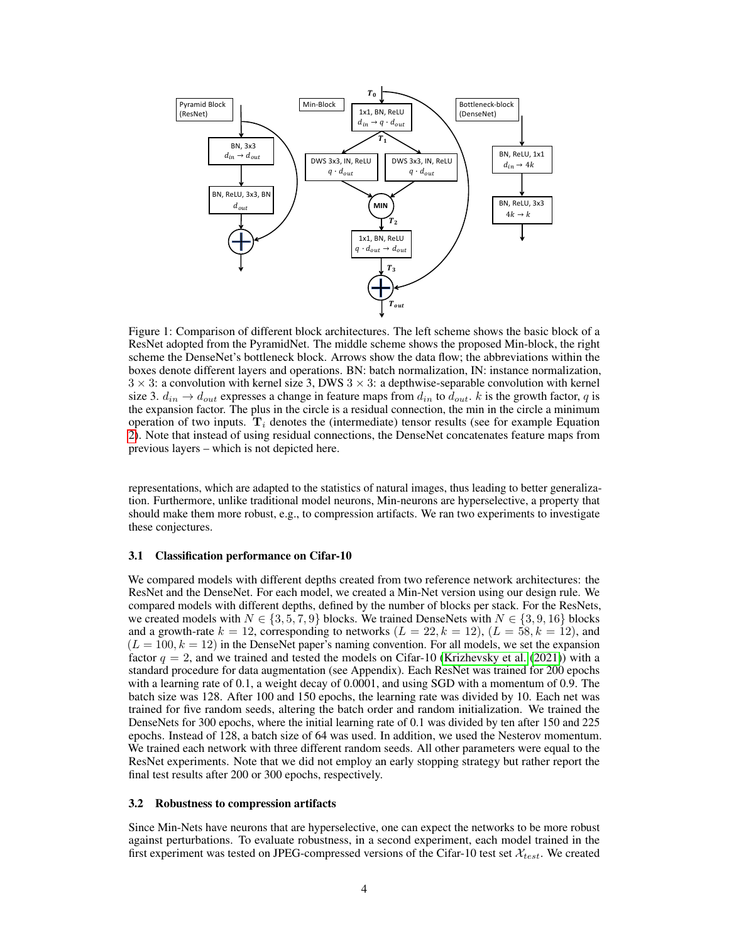<span id="page-3-0"></span>

Figure 1: Comparison of different block architectures. The left scheme shows the basic block of a ResNet adopted from the PyramidNet. The middle scheme shows the proposed Min-block, the right scheme the DenseNet's bottleneck block. Arrows show the data flow; the abbreviations within the boxes denote different layers and operations. BN: batch normalization, IN: instance normalization,  $3 \times 3$ : a convolution with kernel size 3, DWS  $3 \times 3$ : a depthwise-separable convolution with kernel size 3.  $d_{in} \rightarrow d_{out}$  expresses a change in feature maps from  $d_{in}$  to  $d_{out}$ . k is the growth factor, q is the expansion factor. The plus in the circle is a residual connection, the min in the circle a minimum operation of two inputs.  $T_i$  denotes the (intermediate) tensor results (see for example Equation [2\)](#page-1-1). Note that instead of using residual connections, the DenseNet concatenates feature maps from previous layers – which is not depicted here.

representations, which are adapted to the statistics of natural images, thus leading to better generalization. Furthermore, unlike traditional model neurons, Min-neurons are hyperselective, a property that should make them more robust, e.g., to compression artifacts. We ran two experiments to investigate these conjectures.

#### 3.1 Classification performance on Cifar-10

We compared models with different depths created from two reference network architectures: the ResNet and the DenseNet. For each model, we created a Min-Net version using our design rule. We compared models with different depths, defined by the number of blocks per stack. For the ResNets, we created models with  $N \in \{3, 5, 7, 9\}$  blocks. We trained DenseNets with  $N \in \{3, 9, 16\}$  blocks and a growth-rate  $k = 12$ , corresponding to networks  $(L = 22, k = 12)$ ,  $(L = 58, k = 12)$ , and  $(L = 100, k = 12)$  in the DenseNet paper's naming convention. For all models, we set the expansion factor  $q = 2$ , and we trained and tested the models on Cifar-10 [\(Krizhevsky et al.](#page-6-14) [\(2021\)](#page-6-14)) with a standard procedure for data augmentation (see Appendix). Each ResNet was trained for 200 epochs with a learning rate of 0.1, a weight decay of 0.0001, and using SGD with a momentum of 0.9. The batch size was 128. After 100 and 150 epochs, the learning rate was divided by 10. Each net was trained for five random seeds, altering the batch order and random initialization. We trained the DenseNets for 300 epochs, where the initial learning rate of 0.1 was divided by ten after 150 and 225 epochs. Instead of 128, a batch size of 64 was used. In addition, we used the Nesterov momentum. We trained each network with three different random seeds. All other parameters were equal to the ResNet experiments. Note that we did not employ an early stopping strategy but rather report the final test results after 200 or 300 epochs, respectively.

#### 3.2 Robustness to compression artifacts

Since Min-Nets have neurons that are hyperselective, one can expect the networks to be more robust against perturbations. To evaluate robustness, in a second experiment, each model trained in the first experiment was tested on JPEG-compressed versions of the Cifar-10 test set  $\mathcal{X}_{test}$ . We created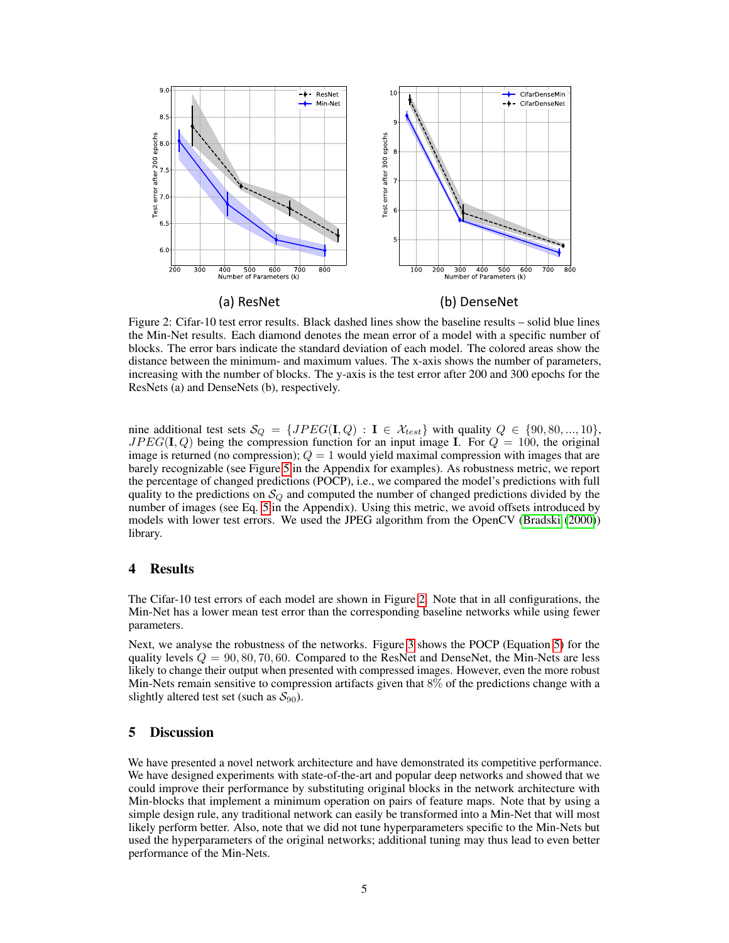<span id="page-4-0"></span>

Figure 2: Cifar-10 test error results. Black dashed lines show the baseline results – solid blue lines the Min-Net results. Each diamond denotes the mean error of a model with a specific number of blocks. The error bars indicate the standard deviation of each model. The colored areas show the distance between the minimum- and maximum values. The x-axis shows the number of parameters, increasing with the number of blocks. The y-axis is the test error after 200 and 300 epochs for the ResNets (a) and DenseNets (b), respectively.

nine additional test sets  $\mathcal{S}_Q = \{JPEG(\mathbf{I}, Q) : \mathbf{I} \in \mathcal{X}_{test}\}\$  with quality  $Q \in \{90, 80, ..., 10\},\$  $JPEG(I, Q)$  being the compression function for an input image I. For  $Q = 100$ , the original image is returned (no compression);  $Q = 1$  would yield maximal compression with images that are barely recognizable (see Figure [5](#page-10-0) in the Appendix for examples). As robustness metric, we report the percentage of changed predictions (POCP), i.e., we compared the model's predictions with full quality to the predictions on  $\mathcal{S}_{Q}$  and computed the number of changed predictions divided by the number of images (see Eq. [5](#page-7-0) in the Appendix). Using this metric, we avoid offsets introduced by models with lower test errors. We used the JPEG algorithm from the OpenCV [\(Bradski](#page-5-5) [\(2000\)](#page-5-5)) library.

## 4 Results

The Cifar-10 test errors of each model are shown in Figure [2.](#page-4-0) Note that in all configurations, the Min-Net has a lower mean test error than the corresponding baseline networks while using fewer parameters.

Next, we analyse the robustness of the networks. Figure [3](#page-5-6) shows the POCP (Equation [5\)](#page-7-0) for the quality levels  $Q = 90, 80, 70, 60$ . Compared to the ResNet and DenseNet, the Min-Nets are less likely to change their output when presented with compressed images. However, even the more robust Min-Nets remain sensitive to compression artifacts given that 8% of the predictions change with a slightly altered test set (such as  $S_{90}$ ).

## 5 Discussion

We have presented a novel network architecture and have demonstrated its competitive performance. We have designed experiments with state-of-the-art and popular deep networks and showed that we could improve their performance by substituting original blocks in the network architecture with Min-blocks that implement a minimum operation on pairs of feature maps. Note that by using a simple design rule, any traditional network can easily be transformed into a Min-Net that will most likely perform better. Also, note that we did not tune hyperparameters specific to the Min-Nets but used the hyperparameters of the original networks; additional tuning may thus lead to even better performance of the Min-Nets.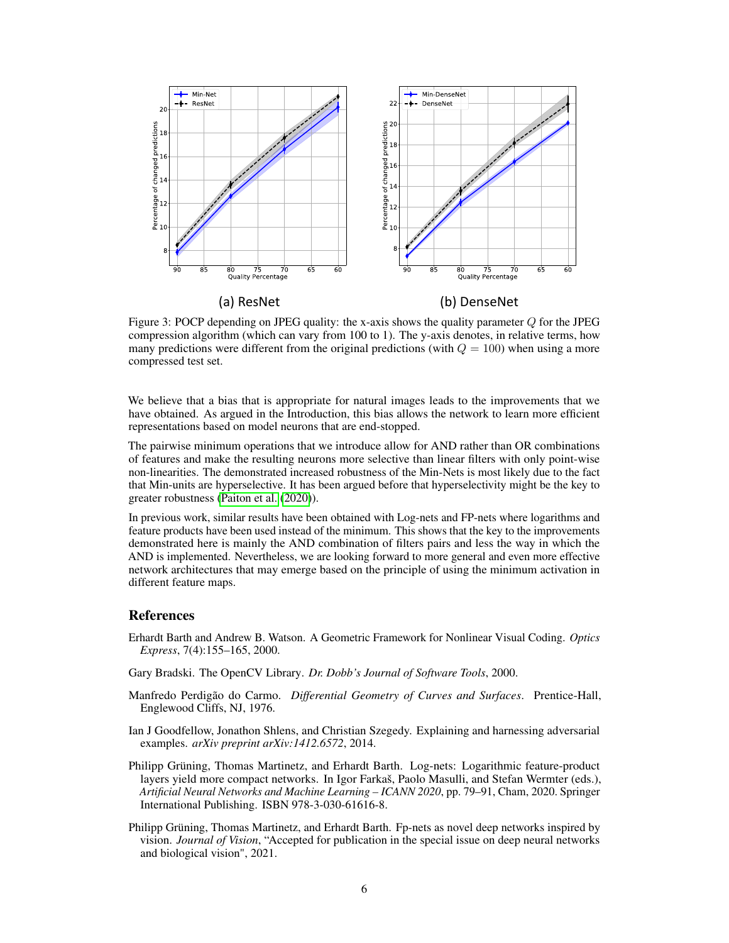<span id="page-5-6"></span>

Figure 3: POCP depending on JPEG quality: the x-axis shows the quality parameter  $Q$  for the JPEG compression algorithm (which can vary from 100 to 1). The y-axis denotes, in relative terms, how many predictions were different from the original predictions (with  $Q = 100$ ) when using a more compressed test set.

We believe that a bias that is appropriate for natural images leads to the improvements that we have obtained. As argued in the Introduction, this bias allows the network to learn more efficient representations based on model neurons that are end-stopped.

The pairwise minimum operations that we introduce allow for AND rather than OR combinations of features and make the resulting neurons more selective than linear filters with only point-wise non-linearities. The demonstrated increased robustness of the Min-Nets is most likely due to the fact that Min-units are hyperselective. It has been argued before that hyperselectivity might be the key to greater robustness [\(Paiton et al.](#page-6-3) [\(2020\)](#page-6-3)).

In previous work, similar results have been obtained with Log-nets and FP-nets where logarithms and feature products have been used instead of the minimum. This shows that the key to the improvements demonstrated here is mainly the AND combination of filters pairs and less the way in which the AND is implemented. Nevertheless, we are looking forward to more general and even more effective network architectures that may emerge based on the principle of using the minimum activation in different feature maps.

## References

- <span id="page-5-3"></span>Erhardt Barth and Andrew B. Watson. A Geometric Framework for Nonlinear Visual Coding. *Optics Express*, 7(4):155–165, 2000.
- <span id="page-5-5"></span>Gary Bradski. The OpenCV Library. *Dr. Dobb's Journal of Software Tools*, 2000.
- <span id="page-5-0"></span>Manfredo Perdigão do Carmo. *Differential Geometry of Curves and Surfaces*. Prentice-Hall, Englewood Cliffs, NJ, 1976.
- <span id="page-5-4"></span>Ian J Goodfellow, Jonathon Shlens, and Christian Szegedy. Explaining and harnessing adversarial examples. *arXiv preprint arXiv:1412.6572*, 2014.
- <span id="page-5-2"></span>Philipp Grüning, Thomas Martinetz, and Erhardt Barth. Log-nets: Logarithmic feature-product layers yield more compact networks. In Igor Farkaš, Paolo Masulli, and Stefan Wermter (eds.), *Artificial Neural Networks and Machine Learning – ICANN 2020*, pp. 79–91, Cham, 2020. Springer International Publishing. ISBN 978-3-030-61616-8.
- <span id="page-5-1"></span>Philipp Grüning, Thomas Martinetz, and Erhardt Barth. Fp-nets as novel deep networks inspired by vision. *Journal of Vision*, "Accepted for publication in the special issue on deep neural networks and biological vision", 2021.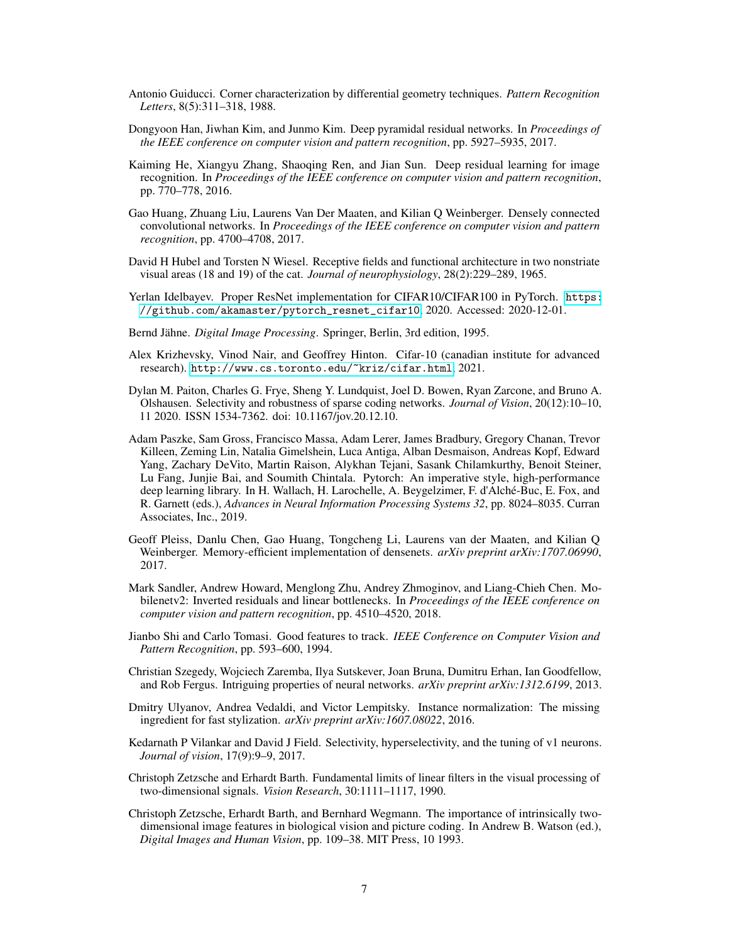- <span id="page-6-0"></span>Antonio Guiducci. Corner characterization by differential geometry techniques. *Pattern Recognition Letters*, 8(5):311–318, 1988.
- <span id="page-6-12"></span>Dongyoon Han, Jiwhan Kim, and Junmo Kim. Deep pyramidal residual networks. In *Proceedings of the IEEE conference on computer vision and pattern recognition*, pp. 5927–5935, 2017.
- <span id="page-6-11"></span>Kaiming He, Xiangyu Zhang, Shaoqing Ren, and Jian Sun. Deep residual learning for image recognition. In *Proceedings of the IEEE conference on computer vision and pattern recognition*, pp. 770–778, 2016.
- <span id="page-6-10"></span>Gao Huang, Zhuang Liu, Laurens Van Der Maaten, and Kilian Q Weinberger. Densely connected convolutional networks. In *Proceedings of the IEEE conference on computer vision and pattern recognition*, pp. 4700–4708, 2017.
- <span id="page-6-5"></span>David H Hubel and Torsten N Wiesel. Receptive fields and functional architecture in two nonstriate visual areas (18 and 19) of the cat. *Journal of neurophysiology*, 28(2):229–289, 1965.
- <span id="page-6-16"></span>Yerlan Idelbayev. Proper ResNet implementation for CIFAR10/CIFAR100 in PyTorch. [https:](https://github.com/akamaster/pytorch_resnet_cifar10) [//github.com/akamaster/pytorch\\_resnet\\_cifar10](https://github.com/akamaster/pytorch_resnet_cifar10), 2020. Accessed: 2020-12-01.
- <span id="page-6-1"></span>Bernd Jähne. *Digital Image Processing*. Springer, Berlin, 3rd edition, 1995.
- <span id="page-6-14"></span>Alex Krizhevsky, Vinod Nair, and Geoffrey Hinton. Cifar-10 (canadian institute for advanced research). <http://www.cs.toronto.edu/~kriz/cifar.html>, 2021.
- <span id="page-6-3"></span>Dylan M. Paiton, Charles G. Frye, Sheng Y. Lundquist, Joel D. Bowen, Ryan Zarcone, and Bruno A. Olshausen. Selectivity and robustness of sparse coding networks. *Journal of Vision*, 20(12):10–10, 11 2020. ISSN 1534-7362. doi: 10.1167/jov.20.12.10.
- <span id="page-6-15"></span>Adam Paszke, Sam Gross, Francisco Massa, Adam Lerer, James Bradbury, Gregory Chanan, Trevor Killeen, Zeming Lin, Natalia Gimelshein, Luca Antiga, Alban Desmaison, Andreas Kopf, Edward Yang, Zachary DeVito, Martin Raison, Alykhan Tejani, Sasank Chilamkurthy, Benoit Steiner, Lu Fang, Junjie Bai, and Soumith Chintala. Pytorch: An imperative style, high-performance deep learning library. In H. Wallach, H. Larochelle, A. Beygelzimer, F. d'Alché-Buc, E. Fox, and R. Garnett (eds.), *Advances in Neural Information Processing Systems 32*, pp. 8024–8035. Curran Associates, Inc., 2019.
- <span id="page-6-17"></span>Geoff Pleiss, Danlu Chen, Gao Huang, Tongcheng Li, Laurens van der Maaten, and Kilian Q Weinberger. Memory-efficient implementation of densenets. *arXiv preprint arXiv:1707.06990*, 2017.
- <span id="page-6-8"></span>Mark Sandler, Andrew Howard, Menglong Zhu, Andrey Zhmoginov, and Liang-Chieh Chen. Mobilenetv2: Inverted residuals and linear bottlenecks. In *Proceedings of the IEEE conference on computer vision and pattern recognition*, pp. 4510–4520, 2018.
- <span id="page-6-2"></span>Jianbo Shi and Carlo Tomasi. Good features to track. *IEEE Conference on Computer Vision and Pattern Recognition*, pp. 593–600, 1994.
- <span id="page-6-13"></span>Christian Szegedy, Wojciech Zaremba, Ilya Sutskever, Joan Bruna, Dumitru Erhan, Ian Goodfellow, and Rob Fergus. Intriguing properties of neural networks. *arXiv preprint arXiv:1312.6199*, 2013.
- <span id="page-6-9"></span>Dmitry Ulyanov, Andrea Vedaldi, and Victor Lempitsky. Instance normalization: The missing ingredient for fast stylization. *arXiv preprint arXiv:1607.08022*, 2016.
- <span id="page-6-4"></span>Kedarnath P Vilankar and David J Field. Selectivity, hyperselectivity, and the tuning of v1 neurons. *Journal of vision*, 17(9):9–9, 2017.
- <span id="page-6-6"></span>Christoph Zetzsche and Erhardt Barth. Fundamental limits of linear filters in the visual processing of two-dimensional signals. *Vision Research*, 30:1111–1117, 1990.
- <span id="page-6-7"></span>Christoph Zetzsche, Erhardt Barth, and Bernhard Wegmann. The importance of intrinsically twodimensional image features in biological vision and picture coding. In Andrew B. Watson (ed.), *Digital Images and Human Vision*, pp. 109–38. MIT Press, 10 1993.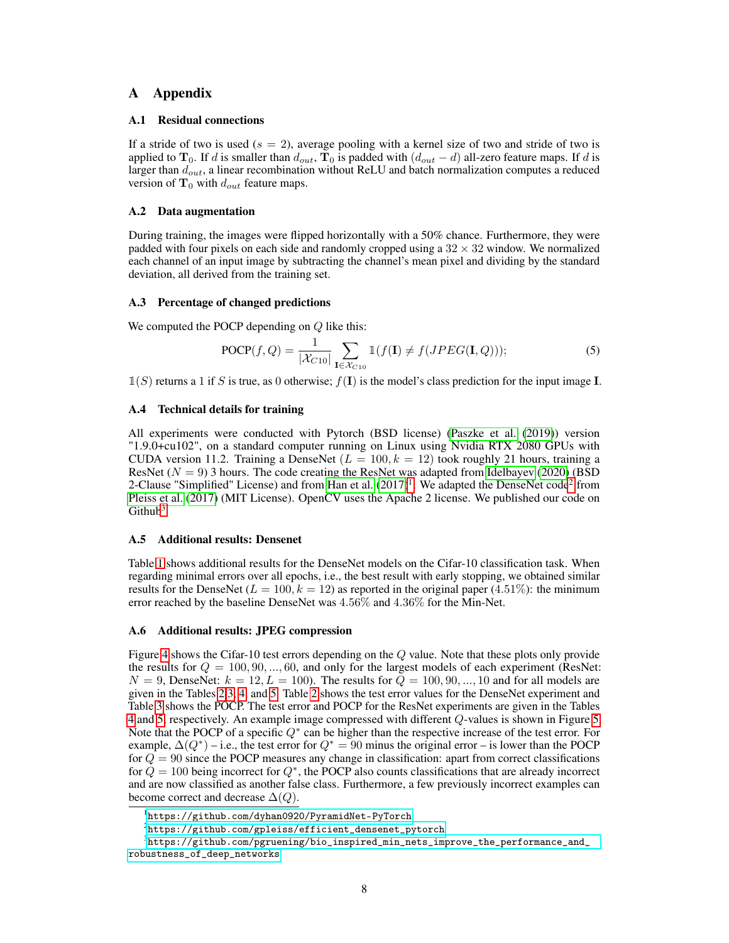## A Appendix

### A.1 Residual connections

If a stride of two is used ( $s = 2$ ), average pooling with a kernel size of two and stride of two is applied to  $T_0$ . If d is smaller than  $d_{out}$ ,  $T_0$  is padded with  $(d_{out} - d)$  all-zero feature maps. If d is larger than  $d_{out}$ , a linear recombination without ReLU and batch normalization computes a reduced version of  $T_0$  with  $d_{out}$  feature maps.

#### A.2 Data augmentation

During training, the images were flipped horizontally with a 50% chance. Furthermore, they were padded with four pixels on each side and randomly cropped using a  $32 \times 32$  window. We normalized each channel of an input image by subtracting the channel's mean pixel and dividing by the standard deviation, all derived from the training set.

#### A.3 Percentage of changed predictions

We computed the POCP depending on  $Q$  like this:

<span id="page-7-0"></span>
$$
POCP(f, Q) = \frac{1}{|\mathcal{X}_{C10}|} \sum_{\mathbf{I} \in \mathcal{X}_{C10}} \mathbb{1}(f(\mathbf{I}) \neq f(JPEG(\mathbf{I}, Q))), \tag{5}
$$

 $\mathbb{1}(S)$  returns a 1 if S is true, as 0 otherwise;  $f(\mathbf{I})$  is the model's class prediction for the input image I.

### A.4 Technical details for training

All experiments were conducted with Pytorch (BSD license) [\(Paszke et al.](#page-6-15) [\(2019\)](#page-6-15)) version "1.9.0+cu102", on a standard computer running on Linux using Nvidia RTX 2080 GPUs with CUDA version 11.2. Training a DenseNet  $(L = 100, k = 12)$  took roughly 21 hours, training a ResNet  $(N = 9)$  3 hours. The code creating the ResNet was adapted from [Idelbayev](#page-6-16) [\(2020\)](#page-6-16) (BSD 2-Clause "Simplified" License) and from [Han et al.](#page-6-12)  $(2017)^1$  $(2017)^1$  $(2017)^1$ . We adapted the DenseNet code<sup>[2](#page-7-2)</sup> from [Pleiss et al.](#page-6-17) [\(2017\)](#page-6-17) (MIT License). OpenCV uses the Apache 2 license. We published our code on Github $3$ 

#### A.5 Additional results: Densenet

Table [1](#page-8-0) shows additional results for the DenseNet models on the Cifar-10 classification task. When regarding minimal errors over all epochs, i.e., the best result with early stopping, we obtained similar results for the DenseNet ( $L = 100, k = 12$ ) as reported in the original paper (4.51%): the minimum error reached by the baseline DenseNet was 4.56% and 4.36% for the Min-Net.

#### A.6 Additional results: JPEG compression

Figure [4](#page-9-0) shows the Cifar-10 test errors depending on the Q value. Note that these plots only provide the results for  $Q = 100, 90, ..., 60$ , and only for the largest models of each experiment (ResNet:  $N = 9$ , DenseNet:  $k = 12, L = 100$ ). The results for  $\overline{Q} = 100, 90, ..., 10$  and for all models are given in the Tables [2,](#page-8-1)[3,](#page-8-2) [4,](#page-8-3) and [5.](#page-9-1) Table [2](#page-8-1) shows the test error values for the DenseNet experiment and Table [3](#page-8-2) shows the POCP. The test error and POCP for the ResNet experiments are given in the Tables [4](#page-8-3) and [5,](#page-9-1) respectively. An example image compressed with different Q-values is shown in Figure [5.](#page-10-0) Note that the POCP of a specific  $Q^*$  can be higher than the respective increase of the test error. For example,  $\Delta(Q^*)$  – i.e., the test error for  $Q^* = 90$  minus the original error – is lower than the POCP for  $Q = 90$  since the POCP measures any change in classification: apart from correct classifications for  $Q = 100$  being incorrect for  $Q^*$ , the POCP also counts classifications that are already incorrect and are now classified as another false class. Furthermore, a few previously incorrect examples can become correct and decrease  $\Delta(Q)$ .

<span id="page-7-1"></span><sup>1</sup> <https://github.com/dyhan0920/PyramidNet-PyTorch>

<span id="page-7-3"></span><span id="page-7-2"></span> $^{2}$ [https://github.com/gpleiss/efficient\\_densenet\\_pytorch](https://github.com/gpleiss/efficient_densenet_pytorch)

 $^3$ [https://github.com/pgruening/bio\\_inspired\\_min\\_nets\\_improve\\_the\\_performance\\_and\\_](https://github.com/pgruening/bio_inspired_min_nets_improve_the_performance_and_robustness_of_deep_networks) [robustness\\_of\\_deep\\_networks](https://github.com/pgruening/bio_inspired_min_nets_improve_the_performance_and_robustness_of_deep_networks)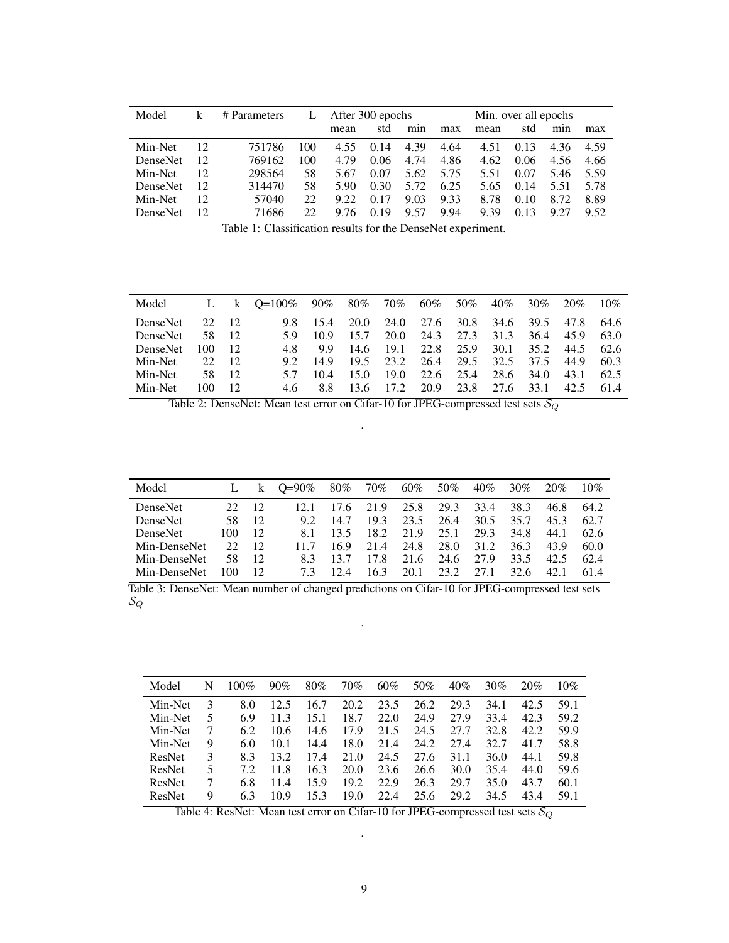<span id="page-8-0"></span>

| Model           |    | # Parameters | L   | After 300 epochs |      |      |      | Min. over all epochs |      |      |      |  |  |
|-----------------|----|--------------|-----|------------------|------|------|------|----------------------|------|------|------|--|--|
|                 |    |              |     | mean             | std  | min  | max  | mean                 | std  | min  | max  |  |  |
| Min-Net         | 12 | 751786       | 100 | 4.55             | 0.14 | 4.39 | 4.64 | 4.51                 | 0.13 | 4.36 | 4.59 |  |  |
| DenseNet        | 12 | 769162       | 100 | 4.79             | 0.06 | 4.74 | 4.86 | 4.62                 | 0.06 | 4.56 | 4.66 |  |  |
| Min-Net         | 12 | 298564       | 58  | 5.67             | 0.07 | 5.62 | 5.75 | 5.51                 | 0.07 | 5.46 | 5.59 |  |  |
| <b>DenseNet</b> | 12 | 314470       | 58  | 5.90             | 0.30 | 5.72 | 6.25 | 5.65                 | 0.14 | 5.51 | 5.78 |  |  |
| Min-Net         | 12 | 57040        | 22  | 9.22             | 0.17 | 9.03 | 9.33 | 8.78                 | 0.10 | 8.72 | 8.89 |  |  |
| <b>DenseNet</b> | 12 | 71686        | 22  | 9.76             | 0.19 | 9.57 | 9.94 | 9.39                 | 0.13 | 9.27 | 9.52 |  |  |

Table 1: Classification results for the DenseNet experiment.

<span id="page-8-1"></span>

| Model           | L   | $\mathbf{k}$    | $O=100\%$ | $90\%$ | $80\%$ | 70%   | 60%  | 50%  | 40%  | 30%  | 20%  | 10%  |
|-----------------|-----|-----------------|-----------|--------|--------|-------|------|------|------|------|------|------|
| <b>DenseNet</b> | 22  | $\overline{12}$ | 98.       | 15.4   | 20.0   | 24.0  | 27.6 | 30.8 | 34.6 | 39.5 | 47.8 | 64.6 |
| <b>DenseNet</b> | 58  | 12              | 5 Q       | 10.9   | 15.7   | 20.0  | 24.3 | 27.3 | 31.3 | 36.4 | 45.9 | 63.0 |
| <b>DenseNet</b> | 100 | 12              | 48        | 99.    | 14.6   | 19.1  | 22.8 | 25.9 | 30.1 | 35.2 | 44.5 | 62.6 |
| Min-Net         | 22  | 12              | 92        | 149    | 19.5   | 23.2  | 26.4 | 29.5 | 32.5 | 37.5 | 44.9 | 60.3 |
| Min-Net         | 58  | 12              | 57        | 10.4   | 15.0   | 19.0  | 22.6 | 25.4 | 28.6 | 34.0 | 43.1 | 62.5 |
| Min-Net         | 100 | 12              | 4.6       | 8.8    | 13.6   | 17.2. | 20.9 | 23.8 | 27.6 | 33.1 | 42.5 | 61.4 |

Table 2: DenseNet: Mean test error on Cifar-10 for JPEG-compressed test sets  $\mathcal{S}_{Q}$ .

<span id="page-8-2"></span>

| Model           |              | $\mathbf{k}$ | $O=90\%$ | $80\%$ | 70%   | 60%  | 50%  | $40\%$ | 30%  | 20%  | 10%  |
|-----------------|--------------|--------------|----------|--------|-------|------|------|--------|------|------|------|
| <b>DenseNet</b> | $22^{\circ}$ | 12           | 12.1     | 17.6   | 21.9  | 25.8 | 29.3 | 33.4   | 38.3 | 46.8 | 64.2 |
| <b>DenseNet</b> | 58           | 12           | 92       | 14.7   | 19.3  | 23.5 | 26.4 | 30.5   | 35.7 | 45.3 | 62.7 |
| <b>DenseNet</b> | 100          | 12           | 81       | 13.5   | 18.2. | 21.9 | 25.1 | 29.3   | 34.8 | 44.1 | 62.6 |
| Min-DenseNet    | 22           | 12           | 117      | 16.9   | 21.4  | 24.8 | 28.0 | 31.2   | 36.3 | 43.9 | 60.0 |
| Min-DenseNet    | 58           | 12           | 83       | 13.7   | 17.8  | 21.6 | 24.6 | 27.9   | 33.5 | 42.5 | 62.4 |
| Min-DenseNet    | 00           | 12           | 73       |        | 163   | 20.1 | 23.2 | 27.1   | 32.6 | 42.1 | 614  |

Table 3: DenseNet: Mean number of changed predictions on Cifar-10 for JPEG-compressed test sets  $\mathcal{S}_Q$ 

.

<span id="page-8-3"></span>

| Model   | N | 100% | 90%  | 80%  | 70%  | 60%  | 50%  | 40%  | 30%  | 20%  | 10%  |
|---------|---|------|------|------|------|------|------|------|------|------|------|
| Min-Net | 3 | 8.0  | 12.5 | 16.7 | 20.2 | 23.5 | 26.2 | 29.3 | 34.1 | 42.5 | 59.1 |
| Min-Net | 5 | 6.9  | 11.3 | 15.1 | 18.7 | 22.0 | 24.9 | 27.9 | 33.4 | 42.3 | 59.2 |
| Min-Net |   | 6.2  | 10.6 | 14.6 | 17.9 | 21.5 | 24.5 | 27.7 | 32.8 | 42.2 | 59.9 |
| Min-Net | 9 | 6.0  | 10.1 | 14.4 | 18.0 | 21.4 | 24.2 | 27.4 | 32.7 | 41.7 | 58.8 |
| ResNet  | 3 | 8.3  | 13.2 | 17.4 | 21.0 | 24.5 | 27.6 | 31.1 | 36.0 | 44.1 | 59.8 |
| ResNet  | 5 | 72   | 11.8 | 16.3 | 20.0 | 23.6 | 26.6 | 30.0 | 35.4 | 44.0 | 59.6 |
| ResNet  |   | 6.8  | 11.4 | 15.9 | 19.2 | 22.9 | 26.3 | 29.7 | 35.0 | 43.7 | 60.1 |
| ResNet  | 9 | 6.3  | 10.9 | 15.3 | 19.0 | 22.4 | 25.6 | 29.2 | 34.5 | 43.4 | 59.1 |

Table 4: ResNet: Mean test error on Cifar-10 for JPEG-compressed test sets  $\mathcal{S}_{Q}$ .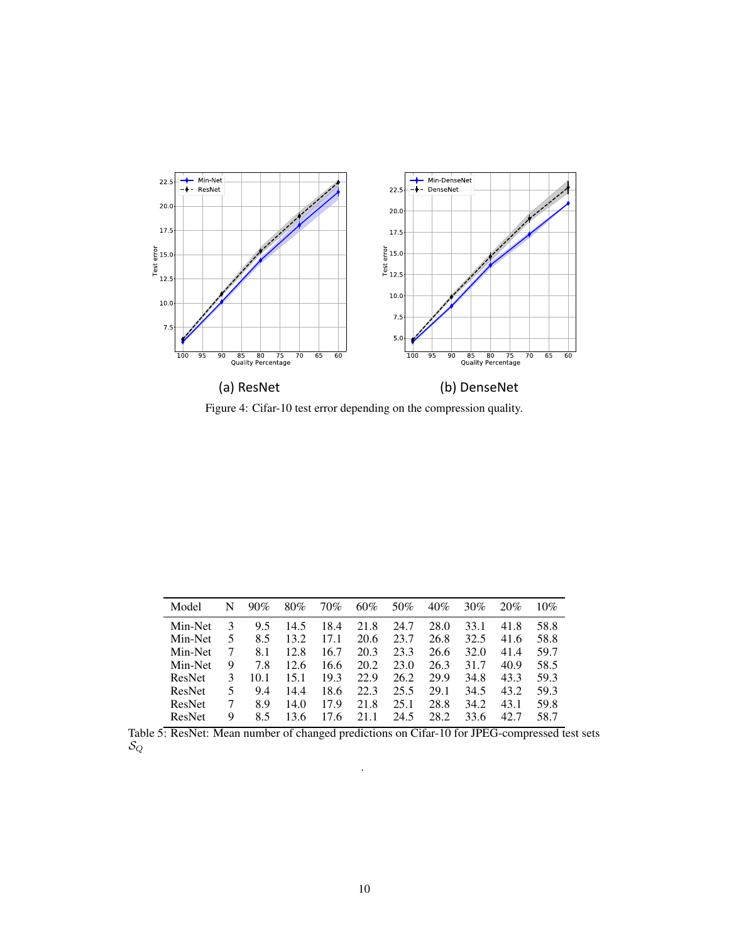<span id="page-9-0"></span>

Figure 4: Cifar-10 test error depending on the compression quality.

<span id="page-9-1"></span>

| Model   | N | 90%  | 80%  | 70%  | 60%  | 50%  | 40%  | 30%  | 20%  | 10%  |
|---------|---|------|------|------|------|------|------|------|------|------|
| Min-Net | 3 | 9.5  | 14.5 | 18.4 | 21.8 | 24.7 | 28.0 | 33.1 | 41.8 | 58.8 |
| Min-Net | 5 | 8.5  | 13.2 | 17.1 | 20.6 | 23.7 | 26.8 | 32.5 | 41.6 | 58.8 |
| Min-Net |   | 8.1  | 12.8 | 16.7 | 20.3 | 23.3 | 26.6 | 32.0 | 41.4 | 59.7 |
| Min-Net | 9 | 7.8  | 12.6 | 16.6 | 20.2 | 23.0 | 26.3 | 31.7 | 40.9 | 58.5 |
| ResNet  | 3 | 10.1 | 15.1 | 19.3 | 22.9 | 26.2 | 29.9 | 34.8 | 43.3 | 59.3 |
| ResNet  | 5 | 9.4  | 14.4 | 18.6 | 22.3 | 25.5 | 29.1 | 34.5 | 43.2 | 59.3 |
| ResNet  |   | 8.9  | 14.0 | 17.9 | 21.8 | 25.1 | 28.8 | 34.2 | 43.1 | 59.8 |
| ResNet  | 9 | 8.5  | 13.6 | 17.6 | 21.1 | 24.5 | 28.2 | 33.6 | 42.7 | 58.7 |

Table 5: ResNet: Mean number of changed predictions on Cifar-10 for JPEG-compressed test sets  $\mathcal{S}_Q$ 

.